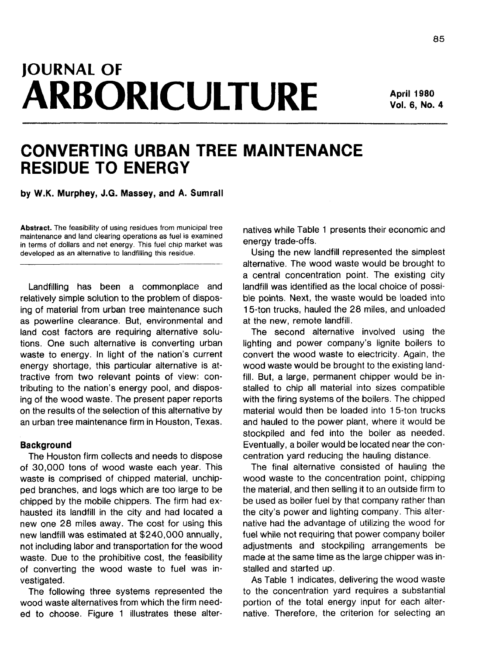# **JOURNAL OF ARBORICULTURE**

**April 1980 Vol. 6, No. 4**

# **CONVERTING URBAN TREE MAINTENANCE RESIDUE TO ENERGY**

**by W.K. Murphey, J.G. Massey, and A. Sumrall**

**Abstract.** The feasibility of using residues from municipal tree maintenance and land clearing operations as fuel is examined in terms of dollars and net energy. This fuel chip market was developed as an alternative to landfilling this residue.

Landfilling has been a commonplace and relatively simple solution to the problem of disposing of material from urban tree maintenance such as powerline clearance. But, environmental and land cost factors are requiring alternative solutions. One such alternative is converting urban waste to energy. In light of the nation's current energy shortage, this particular alternative is attractive from two relevant points of view: contributing to the nation's energy pool, and disposing of the wood waste. The present paper reports on the results of the selection of this alternative by an urban tree maintenance firm in Houston, Texas.

## **Background**

The Houston firm collects and needs to dispose of 30,000 tons of wood waste each year. This waste is comprised of chipped material, unchipped branches, and logs which are too large to be chipped by the mobile chippers. The firm had exhausted its landfill in the city and had located a new one 28 miles away. The cost for using this new landfill was estimated at \$240,000 annually, not including labor and transportation for the wood waste. Due to the prohibitive cost, the feasibility of converting the wood waste to fuel was investigated.

The following three systems represented the wood waste alternatives from which the firm needed to choose. Figure 1 illustrates these alternatives while Table 1 presents their economic and energy trade-offs.

Using the new landfill represented the simplest alternative. The wood waste would be brought to a central concentration point. The existing city landfill was identified as the local choice of possible points. Next, the waste would be loaded into 15-ton trucks, hauled the 28 miles, and unloaded at the new, remote landfill.

The second alternative involved using the lighting and power company's lignite boilers to convert the wood waste to electricity. Again, the wood waste would be brought to the existing landfill. But, a large, permanent chipper would be installed to chip all material into sizes compatible with the firing systems of the boilers. The chipped material would then be loaded into 15-ton trucks and hauled to the power plant, where it would be stockpiled and fed into the boiler as needed. Eventually, a boiler would be located near the concentration yard reducing the hauling distance.

The final alternative consisted of hauling the wood waste to the concentration point, chipping the material, and then selling it to an outside firm to be used as boiler fuel by that company rather than the city's power and lighting company. This alternative had the advantage of utilizing the wood for fuel while not requiring that power company boiler adjustments and stockpiling arrangements be made at the same time as the large chipper was installed and started up.

As Table 1 indicates, delivering the wood waste to the concentration yard requires a substantial portion of the total energy input for each alternative. Therefore, the criterion for selecting an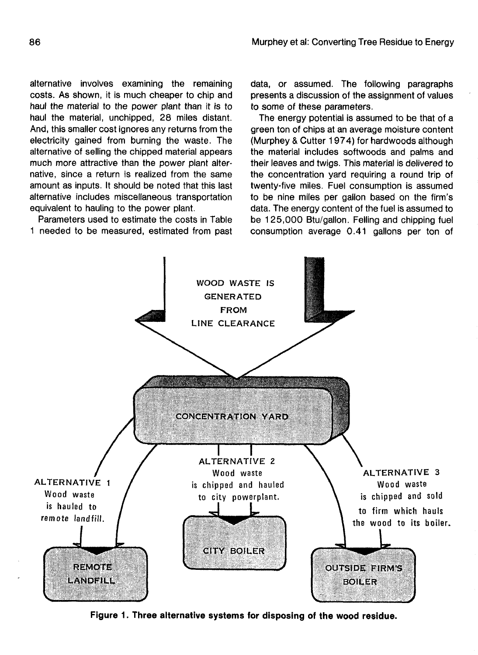alternative involves examining the remaining costs. As shown, it is much cheaper to chip and haul the material to the power plant than it is to haul the material, unchipped, 28 miles distant. And, this smaller cost ignores any returns from the electricity gained from burning the waste. The alternative of selling the chipped material appears much more attractive than the power plant alternative, since a return is realized from the same amount as inputs. It should be noted that this last alternative includes miscellaneous transportation equivalent to hauling to the power plant.

Parameters used to estimate the costs in Table 1 needed to be measured, estimated from past data, or assumed. The following paragraphs presents a discussion of the assignment of values to some of these parameters.

The energy potential is assumed to be that of a green ton of chips at an average moisture content (Murphey & Cutter 1974) for hardwoods although the material includes softwoods and palms and their leaves and twigs. This material is delivered to the concentration yard requiring a round trip of twenty-five miles. Fuel consumption is assumed to be nine miles per gallon based on the firm's data. The energy content of the fuel is assumed to be 125,000 Btu/gallon. Felling and chipping fuel consumption average 0.41 gallons per ton of



**Figure 1. Three alternative systems for disposing of the wood residue.**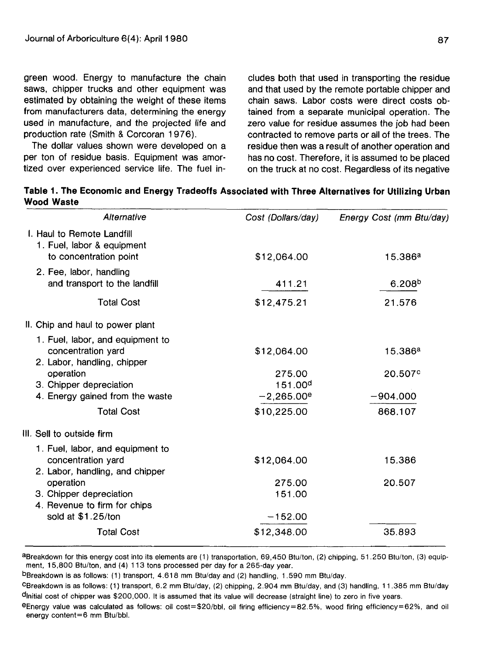green wood. Energy to manufacture the chain saws, chipper trucks and other equipment was estimated by obtaining the weight of these items from manufacturers data, determining the energy used in manufacture, and the projected life and production rate (Smith & Corcoran 1976).

The dollar values shown were developed on a per ton of residue basis. Equipment was amortized over experienced service life. The fuel in-

cludes both that used in transporting the residue and that used by the remote portable chipper and chain saws. Labor costs were direct costs obtained from a separate municipal operation. The zero value for residue assumes the job had been contracted to remove parts or ail of the trees. The residue then was a result of another operation and has no cost. Therefore, it is assumed to be placed on the truck at no cost. Regardless of its negative

**Table 1. The Economic and Energy Tradeoffs Associated with Three Alternatives for Utilizing Urban Wood Waste**

| Alternative                                                                               | Cost (Dollars/day)            | Energy Cost (mm Btu/day) |
|-------------------------------------------------------------------------------------------|-------------------------------|--------------------------|
| I. Haul to Remote Landfill<br>1. Fuel, labor & equipment                                  |                               |                          |
| to concentration point                                                                    | \$12,064.00                   | 15.386a                  |
| 2. Fee, labor, handling<br>and transport to the landfill                                  | 411.21                        | 6.208 <sup>b</sup>       |
| <b>Total Cost</b>                                                                         | \$12,475.21                   | 21.576                   |
| II. Chip and haul to power plant                                                          |                               |                          |
| 1. Fuel, labor, and equipment to<br>concentration yard<br>2. Labor, handling, chipper     | \$12,064.00                   | 15.386a                  |
| operation<br>3. Chipper depreciation                                                      | 275.00<br>151.00 <sup>d</sup> | 20.507 <sup>c</sup>      |
| 4. Energy gained from the waste                                                           | $-2,265.00^e$                 | $-904.000$               |
| <b>Total Cost</b>                                                                         | \$10,225.00                   | 868.107                  |
| III. Sell to outside firm                                                                 |                               |                          |
| 1. Fuel, labor, and equipment to<br>concentration yard<br>2. Labor, handling, and chipper | \$12,064.00                   | 15.386                   |
| operation<br>3. Chipper depreciation<br>4. Revenue to firm for chips                      | 275.00<br>151.00              | 20.507                   |
| sold at \$1.25/ton                                                                        | $-152.00$                     |                          |
| <b>Total Cost</b>                                                                         | \$12,348.00                   | 35.893                   |
|                                                                                           |                               |                          |

aBreakdown for this energy cost into its elements are (1) transportation, 69,450 Btu/ton, (2) chipping, 51.250 Btu/ton, (3) equipment, 15,800 Btu/ton, and (4) 113 tons processed per day for a 265-day year.

<sup>b</sup>Breakdown is as follows: (1) transport, 4.618 mm Btu/day and (2) handling, 1.590 mm Btu/day.

<sup>c</sup>Breakdown is as follows: (1) transport, 6.2 mm Btu/day, (2) chipping, 2.904 mm Btu/day, and (3) handling, 11.385 mm Btu/day ^Initial cost of chipper was \$200,000. It is assumed that its value will decrease (straight line) to zero in five years.

 $eE$ nergy value was calculated as follows: oil cost=\$20/bbl, oil firing efficiency=82.5%, wood firing efficiency=62%, and oil energy content=6 mm Btu/bbl.